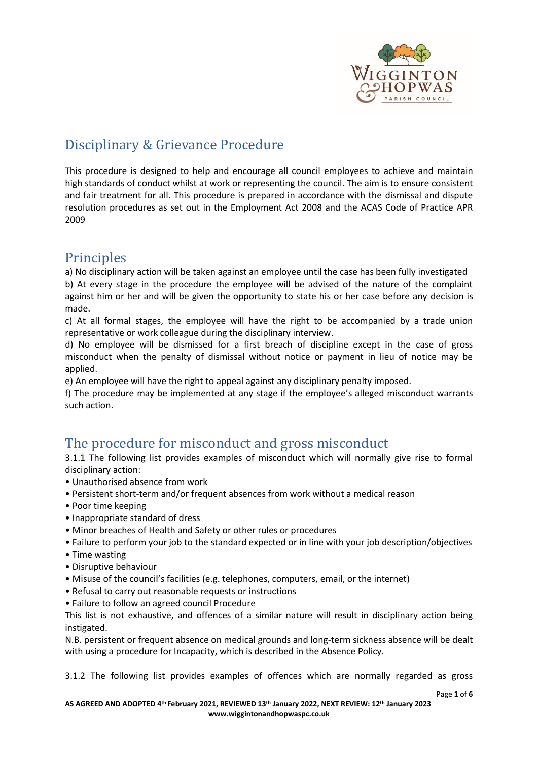

# Disciplinary & Grievance Procedure

This procedure is designed to help and encourage all council employees to achieve and maintain high standards of conduct whilst at work or representing the council. The aim is to ensure consistent and fair treatment for all. This procedure is prepared in accordance with the dismissal and dispute resolution procedures as set out in the Employment Act 2008 and the ACAS Code of Practice APR 2009

## **Principles**

a) No disciplinary action will be taken against an employee until the case has been fully investigated b) At every stage in the procedure the employee will be advised of the nature of the complaint against him or her and will be given the opportunity to state his or her case before any decision is made.

c) At all formal stages, the employee will have the right to be accompanied by a trade union representative or work colleague during the disciplinary interview.

d) No employee will be dismissed for a first breach of discipline except in the case of gross misconduct when the penalty of dismissal without notice or payment in lieu of notice may be applied.

e) An employee will have the right to appeal against any disciplinary penalty imposed.

f) The procedure may be implemented at any stage if the employee's alleged misconduct warrants such action.

## The procedure for misconduct and gross misconduct

3.1.1 The following list provides examples of misconduct which will normally give rise to formal disciplinary action:

- Unauthorised absence from work
- Persistent short-term and/or frequent absences from work without a medical reason
- Poor time keeping
- Inappropriate standard of dress
- Minor breaches of Health and Safety or other rules or procedures
- Failure to perform your job to the standard expected or in line with your job description/objectives
- Time wasting
- Disruptive behaviour
- Misuse of the council's facilities (e.g. telephones, computers, email, or the internet)
- Refusal to carry out reasonable requests or instructions
- Failure to follow an agreed council Procedure

This list is not exhaustive, and offences of a similar nature will result in disciplinary action being instigated.

N.B. persistent or frequent absence on medical grounds and long-term sickness absence will be dealt with using a procedure for Incapacity, which is described in the Absence Policy.

3.1.2 The following list provides examples of offences which are normally regarded as gross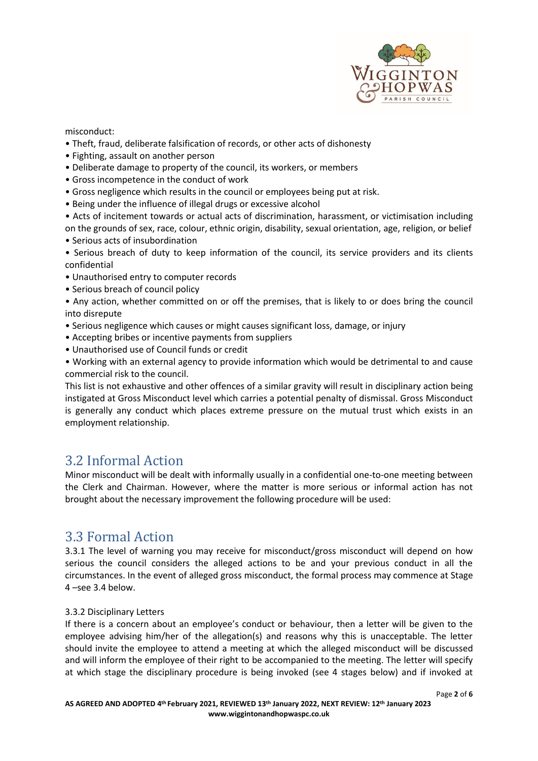

misconduct:

- Theft, fraud, deliberate falsification of records, or other acts of dishonesty
- Fighting, assault on another person
- Deliberate damage to property of the council, its workers, or members
- Gross incompetence in the conduct of work
- Gross negligence which results in the council or employees being put at risk.
- Being under the influence of illegal drugs or excessive alcohol
- Acts of incitement towards or actual acts of discrimination, harassment, or victimisation including on the grounds of sex, race, colour, ethnic origin, disability, sexual orientation, age, religion, or belief
- Serious acts of insubordination
- Serious breach of duty to keep information of the council, its service providers and its clients confidential
- Unauthorised entry to computer records
- Serious breach of council policy
- Any action, whether committed on or off the premises, that is likely to or does bring the council into disrepute
- Serious negligence which causes or might causes significant loss, damage, or injury
- Accepting bribes or incentive payments from suppliers
- Unauthorised use of Council funds or credit
- Working with an external agency to provide information which would be detrimental to and cause commercial risk to the council.

This list is not exhaustive and other offences of a similar gravity will result in disciplinary action being instigated at Gross Misconduct level which carries a potential penalty of dismissal. Gross Misconduct is generally any conduct which places extreme pressure on the mutual trust which exists in an employment relationship.

## 3.2 Informal Action

Minor misconduct will be dealt with informally usually in a confidential one-to-one meeting between the Clerk and Chairman. However, where the matter is more serious or informal action has not brought about the necessary improvement the following procedure will be used:

## 3.3 Formal Action

3.3.1 The level of warning you may receive for misconduct/gross misconduct will depend on how serious the council considers the alleged actions to be and your previous conduct in all the circumstances. In the event of alleged gross misconduct, the formal process may commence at Stage 4 –see 3.4 below.

#### 3.3.2 Disciplinary Letters

If there is a concern about an employee's conduct or behaviour, then a letter will be given to the employee advising him/her of the allegation(s) and reasons why this is unacceptable. The letter should invite the employee to attend a meeting at which the alleged misconduct will be discussed and will inform the employee of their right to be accompanied to the meeting. The letter will specify at which stage the disciplinary procedure is being invoked (see 4 stages below) and if invoked at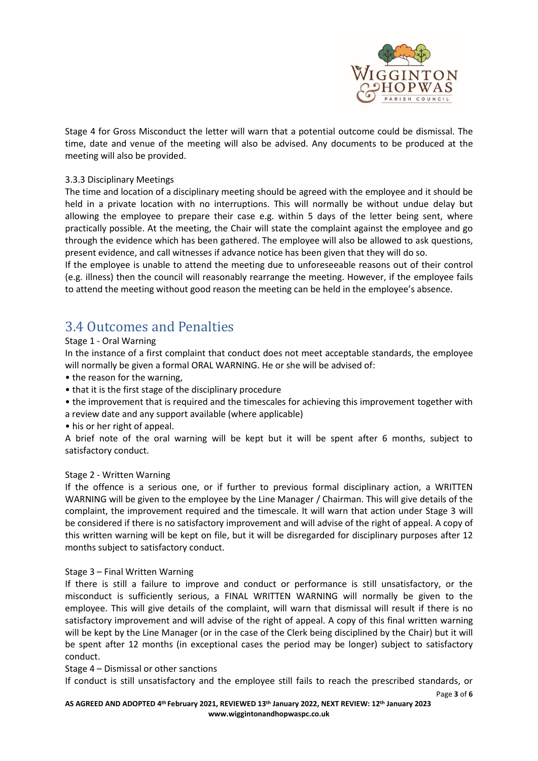

Page **3** of **6**

Stage 4 for Gross Misconduct the letter will warn that a potential outcome could be dismissal. The time, date and venue of the meeting will also be advised. Any documents to be produced at the meeting will also be provided.

#### 3.3.3 Disciplinary Meetings

The time and location of a disciplinary meeting should be agreed with the employee and it should be held in a private location with no interruptions. This will normally be without undue delay but allowing the employee to prepare their case e.g. within 5 days of the letter being sent, where practically possible. At the meeting, the Chair will state the complaint against the employee and go through the evidence which has been gathered. The employee will also be allowed to ask questions, present evidence, and call witnesses if advance notice has been given that they will do so.

If the employee is unable to attend the meeting due to unforeseeable reasons out of their control (e.g. illness) then the council will reasonably rearrange the meeting. However, if the employee fails to attend the meeting without good reason the meeting can be held in the employee's absence.

# 3.4 Outcomes and Penalties

#### Stage 1 - Oral Warning

In the instance of a first complaint that conduct does not meet acceptable standards, the employee will normally be given a formal ORAL WARNING. He or she will be advised of:

- the reason for the warning,
- that it is the first stage of the disciplinary procedure
- the improvement that is required and the timescales for achieving this improvement together with a review date and any support available (where applicable)
- his or her right of appeal.

A brief note of the oral warning will be kept but it will be spent after 6 months, subject to satisfactory conduct.

#### Stage 2 - Written Warning

If the offence is a serious one, or if further to previous formal disciplinary action, a WRITTEN WARNING will be given to the employee by the Line Manager / Chairman. This will give details of the complaint, the improvement required and the timescale. It will warn that action under Stage 3 will be considered if there is no satisfactory improvement and will advise of the right of appeal. A copy of this written warning will be kept on file, but it will be disregarded for disciplinary purposes after 12 months subject to satisfactory conduct.

#### Stage 3 – Final Written Warning

If there is still a failure to improve and conduct or performance is still unsatisfactory, or the misconduct is sufficiently serious, a FINAL WRITTEN WARNING will normally be given to the employee. This will give details of the complaint, will warn that dismissal will result if there is no satisfactory improvement and will advise of the right of appeal. A copy of this final written warning will be kept by the Line Manager (or in the case of the Clerk being disciplined by the Chair) but it will be spent after 12 months (in exceptional cases the period may be longer) subject to satisfactory conduct.

#### Stage 4 – Dismissal or other sanctions

If conduct is still unsatisfactory and the employee still fails to reach the prescribed standards, or

**AS AGREED AND ADOPTED 4 th February 2021, REVIEWED 13th January 2022, NEXT REVIEW: 12th January 2023 www.wiggintonandhopwaspc.co.uk**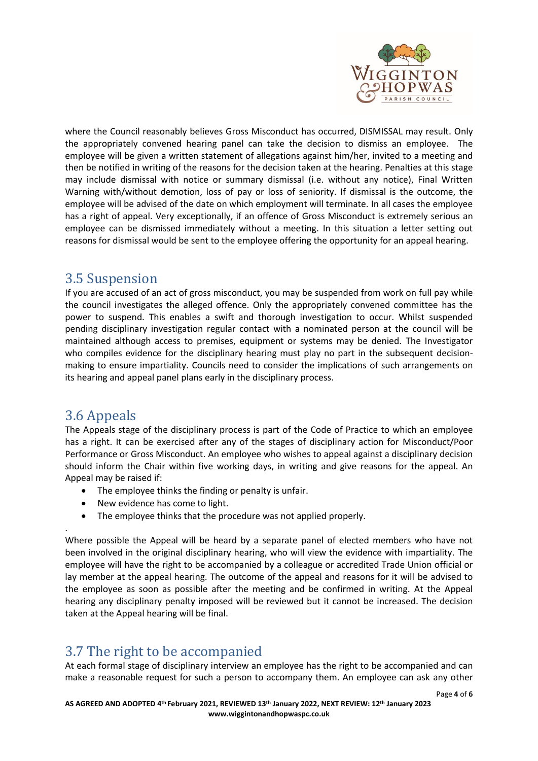

where the Council reasonably believes Gross Misconduct has occurred, DISMISSAL may result. Only the appropriately convened hearing panel can take the decision to dismiss an employee. The employee will be given a written statement of allegations against him/her, invited to a meeting and then be notified in writing of the reasons for the decision taken at the hearing. Penalties at this stage may include dismissal with notice or summary dismissal (i.e. without any notice), Final Written Warning with/without demotion, loss of pay or loss of seniority. If dismissal is the outcome, the employee will be advised of the date on which employment will terminate. In all cases the employee has a right of appeal. Very exceptionally, if an offence of Gross Misconduct is extremely serious an employee can be dismissed immediately without a meeting. In this situation a letter setting out reasons for dismissal would be sent to the employee offering the opportunity for an appeal hearing.

## 3.5 Suspension

If you are accused of an act of gross misconduct, you may be suspended from work on full pay while the council investigates the alleged offence. Only the appropriately convened committee has the power to suspend. This enables a swift and thorough investigation to occur. Whilst suspended pending disciplinary investigation regular contact with a nominated person at the council will be maintained although access to premises, equipment or systems may be denied. The Investigator who compiles evidence for the disciplinary hearing must play no part in the subsequent decisionmaking to ensure impartiality. Councils need to consider the implications of such arrangements on its hearing and appeal panel plans early in the disciplinary process.

# 3.6 Appeals

The Appeals stage of the disciplinary process is part of the Code of Practice to which an employee has a right. It can be exercised after any of the stages of disciplinary action for Misconduct/Poor Performance or Gross Misconduct. An employee who wishes to appeal against a disciplinary decision should inform the Chair within five working days, in writing and give reasons for the appeal. An Appeal may be raised if:

- The employee thinks the finding or penalty is unfair.
- New evidence has come to light.
- The employee thinks that the procedure was not applied properly.

. Where possible the Appeal will be heard by a separate panel of elected members who have not been involved in the original disciplinary hearing, who will view the evidence with impartiality. The employee will have the right to be accompanied by a colleague or accredited Trade Union official or lay member at the appeal hearing. The outcome of the appeal and reasons for it will be advised to the employee as soon as possible after the meeting and be confirmed in writing. At the Appeal hearing any disciplinary penalty imposed will be reviewed but it cannot be increased. The decision taken at the Appeal hearing will be final.

# 3.7 The right to be accompanied

At each formal stage of disciplinary interview an employee has the right to be accompanied and can make a reasonable request for such a person to accompany them. An employee can ask any other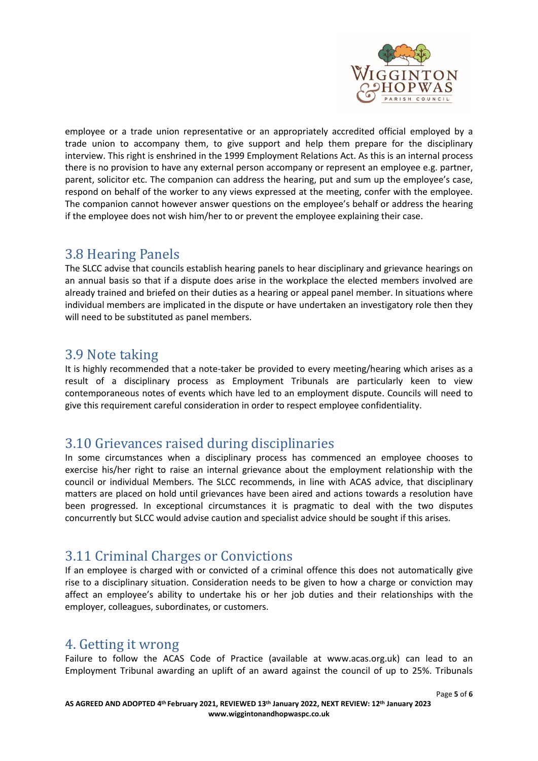

employee or a trade union representative or an appropriately accredited official employed by a trade union to accompany them, to give support and help them prepare for the disciplinary interview. This right is enshrined in the 1999 Employment Relations Act. As this is an internal process there is no provision to have any external person accompany or represent an employee e.g. partner, parent, solicitor etc. The companion can address the hearing, put and sum up the employee's case, respond on behalf of the worker to any views expressed at the meeting, confer with the employee. The companion cannot however answer questions on the employee's behalf or address the hearing if the employee does not wish him/her to or prevent the employee explaining their case.

### 3.8 Hearing Panels

The SLCC advise that councils establish hearing panels to hear disciplinary and grievance hearings on an annual basis so that if a dispute does arise in the workplace the elected members involved are already trained and briefed on their duties as a hearing or appeal panel member. In situations where individual members are implicated in the dispute or have undertaken an investigatory role then they will need to be substituted as panel members.

## 3.9 Note taking

It is highly recommended that a note-taker be provided to every meeting/hearing which arises as a result of a disciplinary process as Employment Tribunals are particularly keen to view contemporaneous notes of events which have led to an employment dispute. Councils will need to give this requirement careful consideration in order to respect employee confidentiality.

# 3.10 Grievances raised during disciplinaries

In some circumstances when a disciplinary process has commenced an employee chooses to exercise his/her right to raise an internal grievance about the employment relationship with the council or individual Members. The SLCC recommends, in line with ACAS advice, that disciplinary matters are placed on hold until grievances have been aired and actions towards a resolution have been progressed. In exceptional circumstances it is pragmatic to deal with the two disputes concurrently but SLCC would advise caution and specialist advice should be sought if this arises.

## 3.11 Criminal Charges or Convictions

If an employee is charged with or convicted of a criminal offence this does not automatically give rise to a disciplinary situation. Consideration needs to be given to how a charge or conviction may affect an employee's ability to undertake his or her job duties and their relationships with the employer, colleagues, subordinates, or customers.

## 4. Getting it wrong

Failure to follow the ACAS Code of Practice (available at www.acas.org.uk) can lead to an Employment Tribunal awarding an uplift of an award against the council of up to 25%. Tribunals